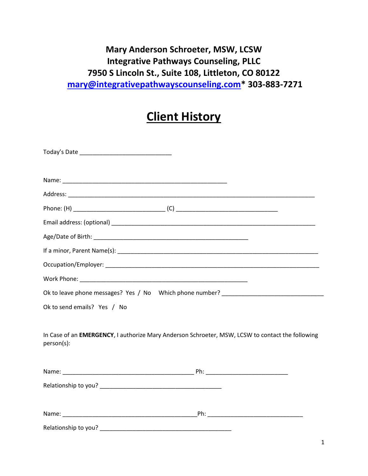## **Mary Anderson Schroeter, MSW, LCSW Integrative Pathways Counseling, PLLC 7950 S Lincoln St., Suite 108, Littleton, CO 80122 mary@integrativepathwayscounseling.com\* 303-883-7271**

# **Client History**

| Ok to send emails? Yes / No |                                                                                                  |
|-----------------------------|--------------------------------------------------------------------------------------------------|
|                             |                                                                                                  |
| person(s):                  | In Case of an EMERGENCY, I authorize Mary Anderson Schroeter, MSW, LCSW to contact the following |
|                             |                                                                                                  |
|                             |                                                                                                  |
|                             |                                                                                                  |
|                             |                                                                                                  |
|                             |                                                                                                  |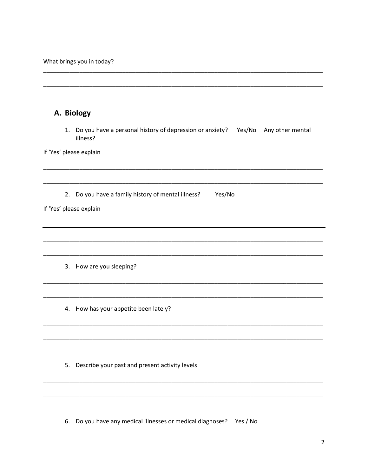What brings you in today?

|                         | A. Biology                                                                                         |
|-------------------------|----------------------------------------------------------------------------------------------------|
|                         | 1. Do you have a personal history of depression or anxiety? Yes/No<br>Any other mental<br>illness? |
| If 'Yes' please explain |                                                                                                    |
| 2.                      | Do you have a family history of mental illness?<br>Yes/No                                          |
| If 'Yes' please explain |                                                                                                    |
|                         |                                                                                                    |
| 3.                      | How are you sleeping?                                                                              |
|                         | 4. How has your appetite been lately?                                                              |
|                         |                                                                                                    |
|                         | 5. Describe your past and present activity levels                                                  |
|                         |                                                                                                    |
|                         |                                                                                                    |

6. Do you have any medical illnesses or medical diagnoses? Yes / No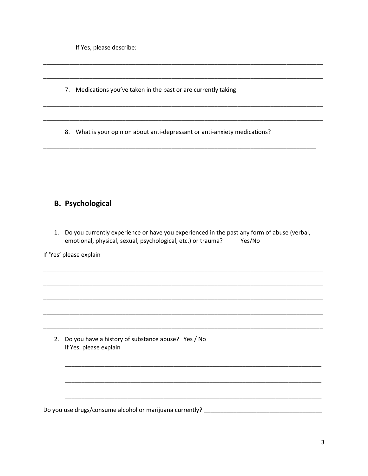If Yes, please describe:

- 7. Medications you've taken in the past or are currently taking
- 8. What is your opinion about anti-depressant or anti-anxiety medications?

#### **B. Psychological**

1. Do you currently experience or have you experienced in the past any form of abuse (verbal, emotional, physical, sexual, psychological, etc.) or trauma? Yes/No

If 'Yes' please explain

2. Do you have a history of substance abuse? Yes / No If Yes, please explain

Do you use drugs/consume alcohol or marijuana currently?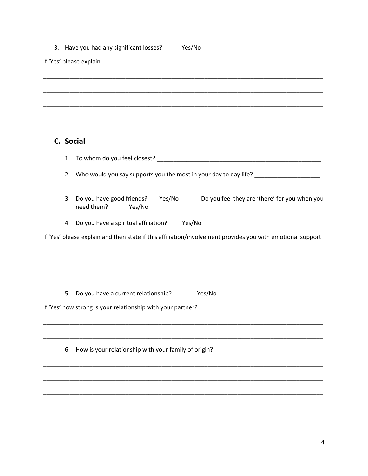#### 3. Have you had any significant losses? Yes/No

If 'Yes' please explain

### C. Social

| 1. |                                                                                                              |
|----|--------------------------------------------------------------------------------------------------------------|
| 2. | Who would you say supports you the most in your day to day life? ________________                            |
| 3. | Do you feel they are 'there' for you when you<br>Do you have good friends?<br>Yes/No<br>need them?<br>Yes/No |
| 4. | Do you have a spiritual affiliation? Yes/No                                                                  |
|    | If 'Yes' please explain and then state if this affiliation/involvement provides you with emotional support   |
|    |                                                                                                              |
|    |                                                                                                              |
| 5. | Do you have a current relationship?<br>Yes/No                                                                |
|    | If 'Yes' how strong is your relationship with your partner?                                                  |
|    |                                                                                                              |
| 6. | How is your relationship with your family of origin?                                                         |
|    |                                                                                                              |
|    |                                                                                                              |
|    |                                                                                                              |
|    |                                                                                                              |